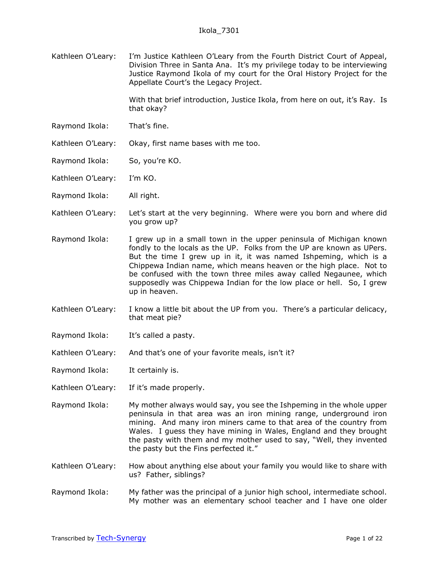Kathleen O'Leary: I'm Justice Kathleen O'Leary from the Fourth District Court of Appeal, Division Three in Santa Ana. It's my privilege today to be interviewing Justice Raymond Ikola of my court for the Oral History Project for the Appellate Court's the Legacy Project.

> With that brief introduction, Justice Ikola, from here on out, it's Ray. Is that okay?

- Raymond Ikola: That's fine.
- Kathleen O'Leary: Okay, first name bases with me too.
- Raymond Ikola: So, you're KO.
- Kathleen O'Leary: I'm KO.
- Raymond Ikola: All right.
- Kathleen O'Leary: Let's start at the very beginning. Where were you born and where did you grow up?
- Raymond Ikola: I grew up in a small town in the upper peninsula of Michigan known fondly to the locals as the UP. Folks from the UP are known as UPers. But the time I grew up in it, it was named Ishpeming, which is a Chippewa Indian name, which means heaven or the high place. Not to be confused with the town three miles away called Negaunee, which supposedly was Chippewa Indian for the low place or hell. So, I grew up in heaven.
- Kathleen O'Leary: I know a little bit about the UP from you. There's a particular delicacy, that meat pie?
- Raymond Ikola: It's called a pasty.
- Kathleen O'Leary: And that's one of your favorite meals, isn't it?
- Raymond Ikola: It certainly is.
- Kathleen O'Leary: If it's made properly.
- Raymond Ikola: My mother always would say, you see the Ishpeming in the whole upper peninsula in that area was an iron mining range, underground iron mining. And many iron miners came to that area of the country from Wales. I guess they have mining in Wales, England and they brought the pasty with them and my mother used to say, "Well, they invented the pasty but the Fins perfected it."
- Kathleen O'Leary: How about anything else about your family you would like to share with us? Father, siblings?
- Raymond Ikola: My father was the principal of a junior high school, intermediate school. My mother was an elementary school teacher and I have one older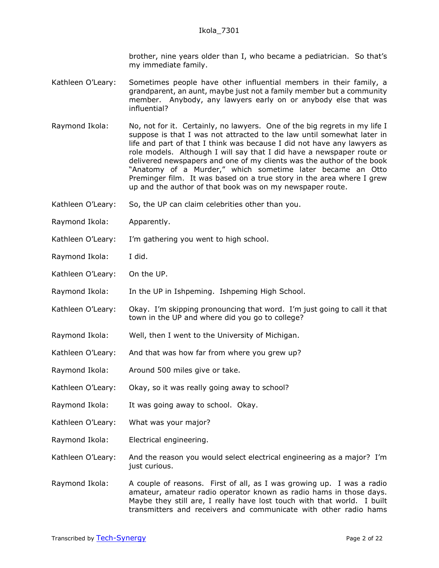brother, nine years older than I, who became a pediatrician. So that's my immediate family.

- Kathleen O'Leary: Sometimes people have other influential members in their family, a grandparent, an aunt, maybe just not a family member but a community member. Anybody, any lawyers early on or anybody else that was influential?
- Raymond Ikola: No, not for it. Certainly, no lawyers. One of the big regrets in my life I suppose is that I was not attracted to the law until somewhat later in life and part of that I think was because I did not have any lawyers as role models. Although I will say that I did have a newspaper route or delivered newspapers and one of my clients was the author of the book "Anatomy of a Murder," which sometime later became an Otto Preminger film. It was based on a true story in the area where I grew up and the author of that book was on my newspaper route.
- Kathleen O'Leary: So, the UP can claim celebrities other than you.
- Raymond Ikola: Apparently.
- Kathleen O'Leary: I'm gathering you went to high school.
- Raymond Ikola: I did.
- Kathleen O'Leary: On the UP.
- Raymond Ikola: In the UP in Ishpeming. Ishpeming High School.
- Kathleen O'Leary: Okay. I'm skipping pronouncing that word. I'm just going to call it that town in the UP and where did you go to college?
- Raymond Ikola: Well, then I went to the University of Michigan.
- Kathleen O'Leary: And that was how far from where you grew up?
- Raymond Ikola: Around 500 miles give or take.
- Kathleen O'Leary: Okay, so it was really going away to school?
- Raymond Ikola: It was going away to school. Okay.
- Kathleen O'Leary: What was your major?
- Raymond Ikola: Electrical engineering.
- Kathleen O'Leary: And the reason you would select electrical engineering as a major? I'm just curious.
- Raymond Ikola: A couple of reasons. First of all, as I was growing up. I was a radio amateur, amateur radio operator known as radio hams in those days. Maybe they still are, I really have lost touch with that world. I built transmitters and receivers and communicate with other radio hams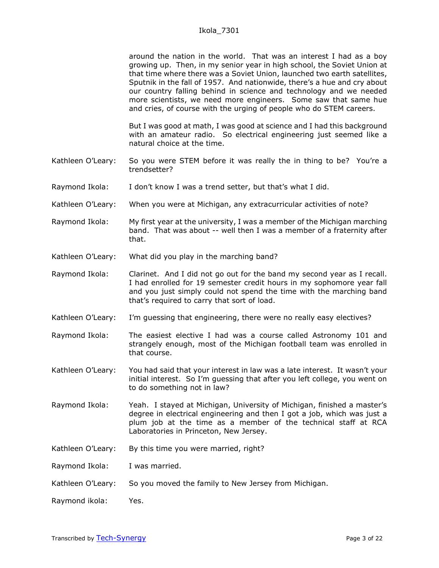around the nation in the world. That was an interest I had as a boy growing up. Then, in my senior year in high school, the Soviet Union at that time where there was a Soviet Union, launched two earth satellites, Sputnik in the fall of 1957. And nationwide, there's a hue and cry about our country falling behind in science and technology and we needed more scientists, we need more engineers. Some saw that same hue and cries, of course with the urging of people who do STEM careers.

But I was good at math, I was good at science and I had this background with an amateur radio. So electrical engineering just seemed like a natural choice at the time.

- Kathleen O'Leary: So you were STEM before it was really the in thing to be? You're a trendsetter?
- Raymond Ikola: I don't know I was a trend setter, but that's what I did.
- Kathleen O'Leary: When you were at Michigan, any extracurricular activities of note?
- Raymond Ikola: My first year at the university, I was a member of the Michigan marching band. That was about -- well then I was a member of a fraternity after that.
- Kathleen O'Leary: What did you play in the marching band?
- Raymond Ikola: Clarinet. And I did not go out for the band my second year as I recall. I had enrolled for 19 semester credit hours in my sophomore year fall and you just simply could not spend the time with the marching band that's required to carry that sort of load.
- Kathleen O'Leary: I'm guessing that engineering, there were no really easy electives?
- Raymond Ikola: The easiest elective I had was a course called Astronomy 101 and strangely enough, most of the Michigan football team was enrolled in that course.
- Kathleen O'Leary: You had said that your interest in law was a late interest. It wasn't your initial interest. So I'm guessing that after you left college, you went on to do something not in law?
- Raymond Ikola: Yeah. I stayed at Michigan, University of Michigan, finished a master's degree in electrical engineering and then I got a job, which was just a plum job at the time as a member of the technical staff at RCA Laboratories in Princeton, New Jersey.
- Kathleen O'Leary: By this time you were married, right?
- Raymond Ikola: I was married.
- Kathleen O'Leary: So you moved the family to New Jersey from Michigan.
- Raymond ikola: Yes.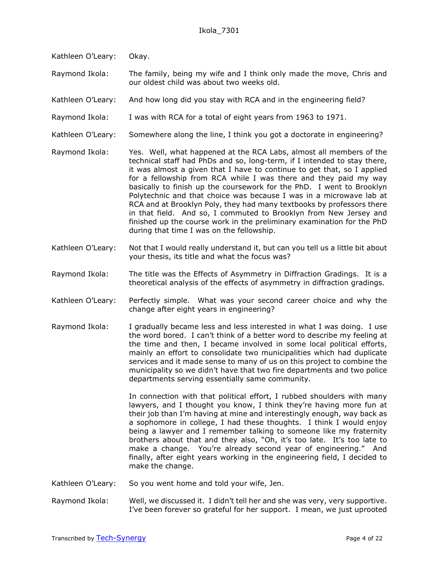- Kathleen O'Leary: Okay.
- Raymond Ikola: The family, being my wife and I think only made the move, Chris and our oldest child was about two weeks old.
- Kathleen O'Leary: And how long did you stay with RCA and in the engineering field?
- Raymond Ikola: I was with RCA for a total of eight years from 1963 to 1971.
- Kathleen O'Leary: Somewhere along the line, I think you got a doctorate in engineering?
- Raymond Ikola: Yes. Well, what happened at the RCA Labs, almost all members of the technical staff had PhDs and so, long-term, if I intended to stay there, it was almost a given that I have to continue to get that, so I applied for a fellowship from RCA while I was there and they paid my way basically to finish up the coursework for the PhD. I went to Brooklyn Polytechnic and that choice was because I was in a microwave lab at RCA and at Brooklyn Poly, they had many textbooks by professors there in that field. And so, I commuted to Brooklyn from New Jersey and finished up the course work in the preliminary examination for the PhD during that time I was on the fellowship.
- Kathleen O'Leary: Not that I would really understand it, but can you tell us a little bit about your thesis, its title and what the focus was?
- Raymond Ikola: The title was the Effects of Asymmetry in Diffraction Gradings. It is a theoretical analysis of the effects of asymmetry in diffraction gradings.
- Kathleen O'Leary: Perfectly simple. What was your second career choice and why the change after eight years in engineering?
- Raymond Ikola: I gradually became less and less interested in what I was doing. I use the word bored. I can't think of a better word to describe my feeling at the time and then, I became involved in some local political efforts, mainly an effort to consolidate two municipalities which had duplicate services and it made sense to many of us on this project to combine the municipality so we didn't have that two fire departments and two police departments serving essentially same community.

In connection with that political effort, I rubbed shoulders with many lawyers, and I thought you know, I think they're having more fun at their job than I'm having at mine and interestingly enough, way back as a sophomore in college, I had these thoughts. I think I would enjoy being a lawyer and I remember talking to someone like my fraternity brothers about that and they also, "Oh, it's too late. It's too late to make a change. You're already second year of engineering." And finally, after eight years working in the engineering field, I decided to make the change.

- Kathleen O'Leary: So you went home and told your wife, Jen.
- Raymond Ikola: Well, we discussed it. I didn't tell her and she was very, very supportive. I've been forever so grateful for her support. I mean, we just uprooted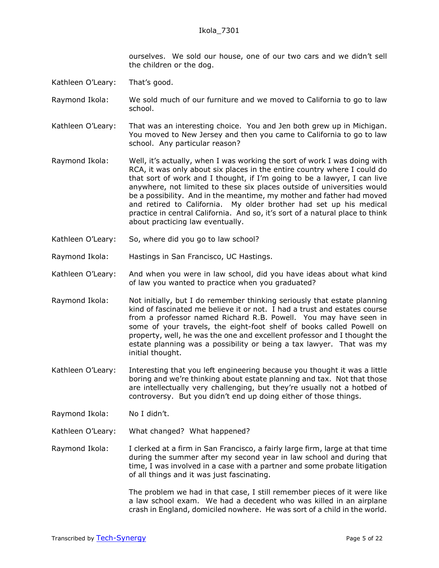ourselves. We sold our house, one of our two cars and we didn't sell the children or the dog.

- Kathleen O'Leary: That's good.
- Raymond Ikola: We sold much of our furniture and we moved to California to go to law school.
- Kathleen O'Leary: That was an interesting choice. You and Jen both grew up in Michigan. You moved to New Jersey and then you came to California to go to law school. Any particular reason?
- Raymond Ikola: Well, it's actually, when I was working the sort of work I was doing with RCA, it was only about six places in the entire country where I could do that sort of work and I thought, if I'm going to be a lawyer, I can live anywhere, not limited to these six places outside of universities would be a possibility. And in the meantime, my mother and father had moved and retired to California. My older brother had set up his medical practice in central California. And so, it's sort of a natural place to think about practicing law eventually.
- Kathleen O'Leary: So, where did you go to law school?
- Raymond Ikola: Hastings in San Francisco, UC Hastings.
- Kathleen O'Leary: And when you were in law school, did you have ideas about what kind of law you wanted to practice when you graduated?
- Raymond Ikola: Not initially, but I do remember thinking seriously that estate planning kind of fascinated me believe it or not. I had a trust and estates course from a professor named Richard R.B. Powell. You may have seen in some of your travels, the eight-foot shelf of books called Powell on property, well, he was the one and excellent professor and I thought the estate planning was a possibility or being a tax lawyer. That was my initial thought.
- Kathleen O'Leary: Interesting that you left engineering because you thought it was a little boring and we're thinking about estate planning and tax. Not that those are intellectually very challenging, but they're usually not a hotbed of controversy. But you didn't end up doing either of those things.
- Raymond Ikola: No I didn't.
- Kathleen O'Leary: What changed? What happened?
- Raymond Ikola: I clerked at a firm in San Francisco, a fairly large firm, large at that time during the summer after my second year in law school and during that time, I was involved in a case with a partner and some probate litigation of all things and it was just fascinating.

The problem we had in that case, I still remember pieces of it were like a law school exam. We had a decedent who was killed in an airplane crash in England, domiciled nowhere. He was sort of a child in the world.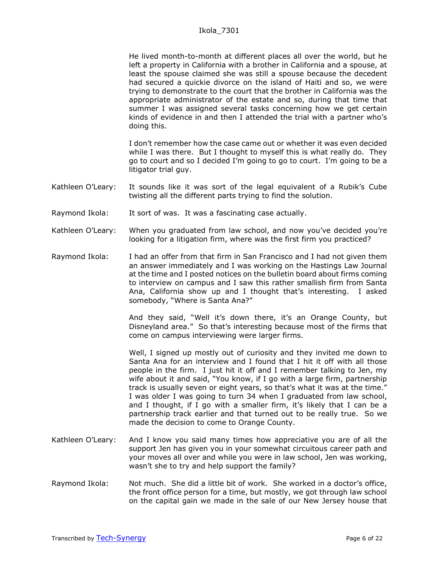He lived month-to-month at different places all over the world, but he left a property in California with a brother in California and a spouse, at least the spouse claimed she was still a spouse because the decedent had secured a quickie divorce on the island of Haiti and so, we were trying to demonstrate to the court that the brother in California was the appropriate administrator of the estate and so, during that time that summer I was assigned several tasks concerning how we get certain kinds of evidence in and then I attended the trial with a partner who's doing this.

I don't remember how the case came out or whether it was even decided while I was there. But I thought to myself this is what really do. They go to court and so I decided I'm going to go to court. I'm going to be a litigator trial guy.

- Kathleen O'Leary: It sounds like it was sort of the legal equivalent of a Rubik's Cube twisting all the different parts trying to find the solution.
- Raymond Ikola: It sort of was. It was a fascinating case actually.
- Kathleen O'Leary: When you graduated from law school, and now you've decided you're looking for a litigation firm, where was the first firm you practiced?
- Raymond Ikola: I had an offer from that firm in San Francisco and I had not given them an answer immediately and I was working on the Hastings Law Journal at the time and I posted notices on the bulletin board about firms coming to interview on campus and I saw this rather smallish firm from Santa Ana, California show up and I thought that's interesting. I asked somebody, "Where is Santa Ana?"

And they said, "Well it's down there, it's an Orange County, but Disneyland area." So that's interesting because most of the firms that come on campus interviewing were larger firms.

Well, I signed up mostly out of curiosity and they invited me down to Santa Ana for an interview and I found that I hit it off with all those people in the firm. I just hit it off and I remember talking to Jen, my wife about it and said, "You know, if I go with a large firm, partnership track is usually seven or eight years, so that's what it was at the time." I was older I was going to turn 34 when I graduated from law school, and I thought, if I go with a smaller firm, it's likely that I can be a partnership track earlier and that turned out to be really true. So we made the decision to come to Orange County.

- Kathleen O'Leary: And I know you said many times how appreciative you are of all the support Jen has given you in your somewhat circuitous career path and your moves all over and while you were in law school, Jen was working, wasn't she to try and help support the family?
- Raymond Ikola: Not much. She did a little bit of work. She worked in a doctor's office, the front office person for a time, but mostly, we got through law school on the capital gain we made in the sale of our New Jersey house that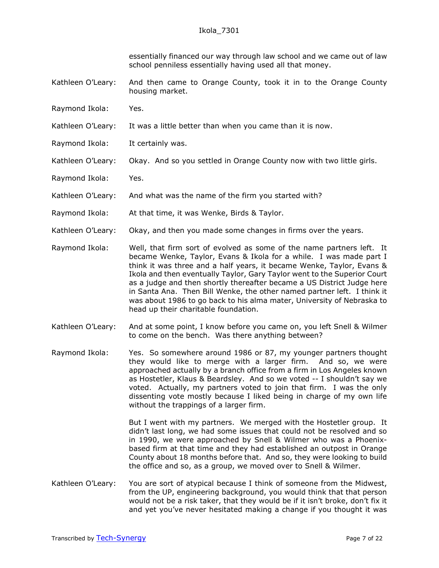essentially financed our way through law school and we came out of law school penniless essentially having used all that money.

- Kathleen O'Leary: And then came to Orange County, took it in to the Orange County housing market.
- Raymond Ikola: Yes.
- Kathleen O'Leary: It was a little better than when you came than it is now.
- Raymond Ikola: It certainly was.
- Kathleen O'Leary: Okay. And so you settled in Orange County now with two little girls.
- Raymond Ikola: Yes.
- Kathleen O'Leary: And what was the name of the firm you started with?
- Raymond Ikola: At that time, it was Wenke, Birds & Taylor.
- Kathleen O'Leary: Okay, and then you made some changes in firms over the years.
- Raymond Ikola: Well, that firm sort of evolved as some of the name partners left. It became Wenke, Taylor, Evans & Ikola for a while. I was made part I think it was three and a half years, it became Wenke, Taylor, Evans & Ikola and then eventually Taylor, Gary Taylor went to the Superior Court as a judge and then shortly thereafter became a US District Judge here in Santa Ana. Then Bill Wenke, the other named partner left. I think it was about 1986 to go back to his alma mater, University of Nebraska to head up their charitable foundation.
- Kathleen O'Leary: And at some point, I know before you came on, you left Snell & Wilmer to come on the bench. Was there anything between?
- Raymond Ikola: Yes. So somewhere around 1986 or 87, my younger partners thought they would like to merge with a larger firm. And so, we were approached actually by a branch office from a firm in Los Angeles known as Hostetler, Klaus & Beardsley. And so we voted -- I shouldn't say we voted. Actually, my partners voted to join that firm. I was the only dissenting vote mostly because I liked being in charge of my own life without the trappings of a larger firm.

But I went with my partners. We merged with the Hostetler group. It didn't last long, we had some issues that could not be resolved and so in 1990, we were approached by Snell & Wilmer who was a Phoenixbased firm at that time and they had established an outpost in Orange County about 18 months before that. And so, they were looking to build the office and so, as a group, we moved over to Snell & Wilmer.

Kathleen O'Leary: You are sort of atypical because I think of someone from the Midwest, from the UP, engineering background, you would think that that person would not be a risk taker, that they would be if it isn't broke, don't fix it and yet you've never hesitated making a change if you thought it was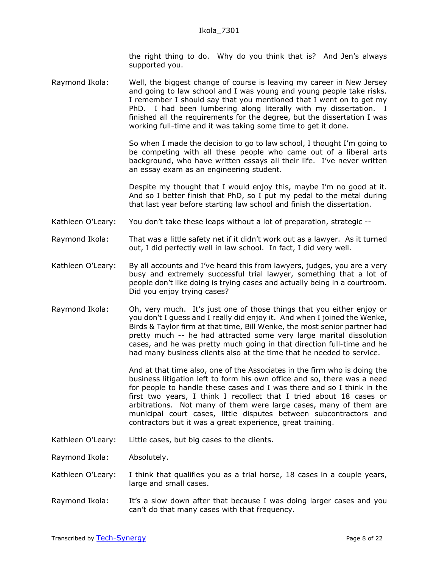the right thing to do. Why do you think that is? And Jen's always supported you.

Raymond Ikola: Well, the biggest change of course is leaving my career in New Jersey and going to law school and I was young and young people take risks. I remember I should say that you mentioned that I went on to get my PhD. I had been lumbering along literally with my dissertation. I finished all the requirements for the degree, but the dissertation I was working full-time and it was taking some time to get it done.

> So when I made the decision to go to law school, I thought I'm going to be competing with all these people who came out of a liberal arts background, who have written essays all their life. I've never written an essay exam as an engineering student.

> Despite my thought that I would enjoy this, maybe I'm no good at it. And so I better finish that PhD, so I put my pedal to the metal during that last year before starting law school and finish the dissertation.

- Kathleen O'Leary: You don't take these leaps without a lot of preparation, strategic --
- Raymond Ikola: That was a little safety net if it didn't work out as a lawyer. As it turned out, I did perfectly well in law school. In fact, I did very well.
- Kathleen O'Leary: By all accounts and I've heard this from lawyers, judges, you are a very busy and extremely successful trial lawyer, something that a lot of people don't like doing is trying cases and actually being in a courtroom. Did you enjoy trying cases?
- Raymond Ikola: Oh, very much. It's just one of those things that you either enjoy or you don't I guess and I really did enjoy it. And when I joined the Wenke, Birds & Taylor firm at that time, Bill Wenke, the most senior partner had pretty much -- he had attracted some very large marital dissolution cases, and he was pretty much going in that direction full-time and he had many business clients also at the time that he needed to service.

And at that time also, one of the Associates in the firm who is doing the business litigation left to form his own office and so, there was a need for people to handle these cases and I was there and so I think in the first two years, I think I recollect that I tried about 18 cases or arbitrations. Not many of them were large cases, many of them are municipal court cases, little disputes between subcontractors and contractors but it was a great experience, great training.

Kathleen O'Leary: Little cases, but big cases to the clients.

Raymond Ikola: Absolutely.

- Kathleen O'Leary: I think that qualifies you as a trial horse, 18 cases in a couple years, large and small cases.
- Raymond Ikola: It's a slow down after that because I was doing larger cases and you can't do that many cases with that frequency.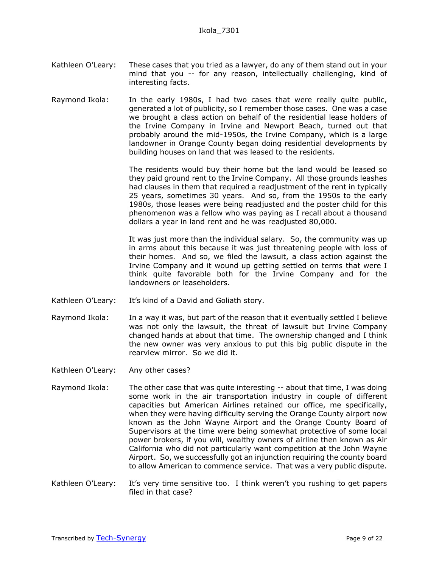- Kathleen O'Leary: These cases that you tried as a lawyer, do any of them stand out in your mind that you -- for any reason, intellectually challenging, kind of interesting facts.
- Raymond Ikola: In the early 1980s, I had two cases that were really quite public, generated a lot of publicity, so I remember those cases. One was a case we brought a class action on behalf of the residential lease holders of the Irvine Company in Irvine and Newport Beach, turned out that probably around the mid-1950s, the Irvine Company, which is a large landowner in Orange County began doing residential developments by building houses on land that was leased to the residents.

The residents would buy their home but the land would be leased so they paid ground rent to the Irvine Company. All those grounds leashes had clauses in them that required a readjustment of the rent in typically 25 years, sometimes 30 years. And so, from the 1950s to the early 1980s, those leases were being readjusted and the poster child for this phenomenon was a fellow who was paying as I recall about a thousand dollars a year in land rent and he was readjusted 80,000.

It was just more than the individual salary. So, the community was up in arms about this because it was just threatening people with loss of their homes. And so, we filed the lawsuit, a class action against the Irvine Company and it wound up getting settled on terms that were I think quite favorable both for the Irvine Company and for the landowners or leaseholders.

- Kathleen O'Leary: It's kind of a David and Goliath story.
- Raymond Ikola: In a way it was, but part of the reason that it eventually settled I believe was not only the lawsuit, the threat of lawsuit but Irvine Company changed hands at about that time. The ownership changed and I think the new owner was very anxious to put this big public dispute in the rearview mirror. So we did it.
- Kathleen O'Leary: Any other cases?
- Raymond Ikola: The other case that was quite interesting -- about that time, I was doing some work in the air transportation industry in couple of different capacities but American Airlines retained our office, me specifically, when they were having difficulty serving the Orange County airport now known as the John Wayne Airport and the Orange County Board of Supervisors at the time were being somewhat protective of some local power brokers, if you will, wealthy owners of airline then known as Air California who did not particularly want competition at the John Wayne Airport. So, we successfully got an injunction requiring the county board to allow American to commence service. That was a very public dispute.
- Kathleen O'Leary: It's very time sensitive too. I think weren't you rushing to get papers filed in that case?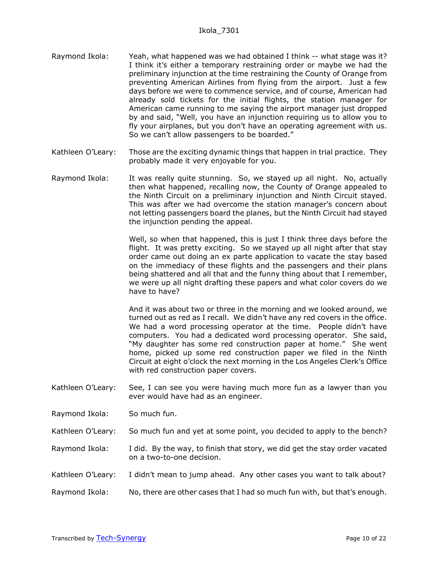- Raymond Ikola: Yeah, what happened was we had obtained I think -- what stage was it? I think it's either a temporary restraining order or maybe we had the preliminary injunction at the time restraining the County of Orange from preventing American Airlines from flying from the airport. Just a few days before we were to commence service, and of course, American had already sold tickets for the initial flights, the station manager for American came running to me saying the airport manager just dropped by and said, "Well, you have an injunction requiring us to allow you to fly your airplanes, but you don't have an operating agreement with us. So we can't allow passengers to be boarded."
- Kathleen O'Leary: Those are the exciting dynamic things that happen in trial practice. They probably made it very enjoyable for you.
- Raymond Ikola: It was really quite stunning. So, we stayed up all night. No, actually then what happened, recalling now, the County of Orange appealed to the Ninth Circuit on a preliminary injunction and Ninth Circuit stayed. This was after we had overcome the station manager's concern about not letting passengers board the planes, but the Ninth Circuit had stayed the injunction pending the appeal.

Well, so when that happened, this is just I think three days before the flight. It was pretty exciting. So we stayed up all night after that stay order came out doing an ex parte application to vacate the stay based on the immediacy of these flights and the passengers and their plans being shattered and all that and the funny thing about that I remember, we were up all night drafting these papers and what color covers do we have to have?

And it was about two or three in the morning and we looked around, we turned out as red as I recall. We didn't have any red covers in the office. We had a word processing operator at the time. People didn't have computers. You had a dedicated word processing operator. She said, "My daughter has some red construction paper at home." She went home, picked up some red construction paper we filed in the Ninth Circuit at eight o'clock the next morning in the Los Angeles Clerk's Office with red construction paper covers.

- Kathleen O'Leary: See, I can see you were having much more fun as a lawyer than you ever would have had as an engineer.
- Raymond Ikola: So much fun.

Kathleen O'Leary: So much fun and yet at some point, you decided to apply to the bench?

- Raymond Ikola: I did. By the way, to finish that story, we did get the stay order vacated on a two-to-one decision.
- Kathleen O'Leary: I didn't mean to jump ahead. Any other cases you want to talk about?
- Raymond Ikola: No, there are other cases that I had so much fun with, but that's enough.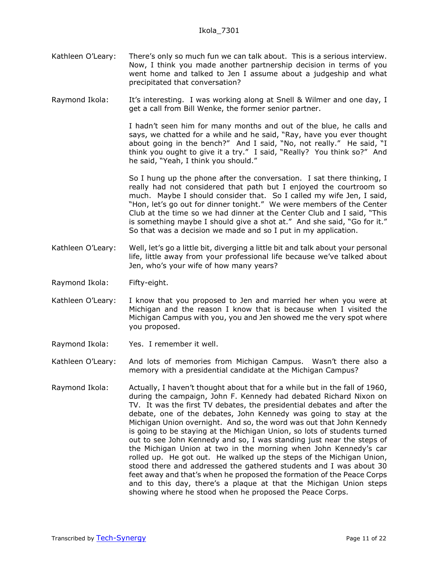Kathleen O'Leary: There's only so much fun we can talk about. This is a serious interview. Now, I think you made another partnership decision in terms of you went home and talked to Jen I assume about a judgeship and what precipitated that conversation?

Raymond Ikola: It's interesting. I was working along at Snell & Wilmer and one day, I get a call from Bill Wenke, the former senior partner.

> I hadn't seen him for many months and out of the blue, he calls and says, we chatted for a while and he said, "Ray, have you ever thought about going in the bench?" And I said, "No, not really." He said, "I think you ought to give it a try." I said, "Really? You think so?" And he said, "Yeah, I think you should."

> So I hung up the phone after the conversation. I sat there thinking, I really had not considered that path but I enjoyed the courtroom so much. Maybe I should consider that. So I called my wife Jen, I said, "Hon, let's go out for dinner tonight." We were members of the Center Club at the time so we had dinner at the Center Club and I said, "This is something maybe I should give a shot at." And she said, "Go for it." So that was a decision we made and so I put in my application.

- Kathleen O'Leary: Well, let's go a little bit, diverging a little bit and talk about your personal life, little away from your professional life because we've talked about Jen, who's your wife of how many years?
- Raymond Ikola: Fifty-eight.
- Kathleen O'Leary: I know that you proposed to Jen and married her when you were at Michigan and the reason I know that is because when I visited the Michigan Campus with you, you and Jen showed me the very spot where you proposed.
- Raymond Ikola: Yes. I remember it well.
- Kathleen O'Leary: And lots of memories from Michigan Campus. Wasn't there also a memory with a presidential candidate at the Michigan Campus?
- Raymond Ikola: Actually, I haven't thought about that for a while but in the fall of 1960, during the campaign, John F. Kennedy had debated Richard Nixon on TV. It was the first TV debates, the presidential debates and after the debate, one of the debates, John Kennedy was going to stay at the Michigan Union overnight. And so, the word was out that John Kennedy is going to be staying at the Michigan Union, so lots of students turned out to see John Kennedy and so, I was standing just near the steps of the Michigan Union at two in the morning when John Kennedy's car rolled up. He got out. He walked up the steps of the Michigan Union, stood there and addressed the gathered students and I was about 30 feet away and that's when he proposed the formation of the Peace Corps and to this day, there's a plaque at that the Michigan Union steps showing where he stood when he proposed the Peace Corps.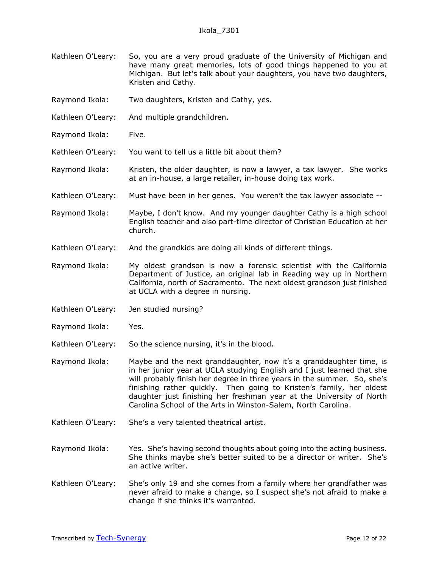- Kathleen O'Leary: So, you are a very proud graduate of the University of Michigan and have many great memories, lots of good things happened to you at Michigan. But let's talk about your daughters, you have two daughters, Kristen and Cathy.
- Raymond Ikola: Two daughters, Kristen and Cathy, yes.
- Kathleen O'Leary: And multiple grandchildren.
- Raymond Ikola: Five.
- Kathleen O'Leary: You want to tell us a little bit about them?
- Raymond Ikola: Kristen, the older daughter, is now a lawyer, a tax lawyer. She works at an in-house, a large retailer, in-house doing tax work.
- Kathleen O'Leary: Must have been in her genes. You weren't the tax lawyer associate --
- Raymond Ikola: Maybe, I don't know. And my younger daughter Cathy is a high school English teacher and also part-time director of Christian Education at her church.
- Kathleen O'Leary: And the grandkids are doing all kinds of different things.
- Raymond Ikola: My oldest grandson is now a forensic scientist with the California Department of Justice, an original lab in Reading way up in Northern California, north of Sacramento. The next oldest grandson just finished at UCLA with a degree in nursing.
- Kathleen O'Leary: Jen studied nursing?
- Raymond Ikola: Yes.
- Kathleen O'Leary: So the science nursing, it's in the blood.
- Raymond Ikola: Maybe and the next granddaughter, now it's a granddaughter time, is in her junior year at UCLA studying English and I just learned that she will probably finish her degree in three years in the summer. So, she's finishing rather quickly. Then going to Kristen's family, her oldest daughter just finishing her freshman year at the University of North Carolina School of the Arts in Winston-Salem, North Carolina.
- Kathleen O'Leary: She's a very talented theatrical artist.
- Raymond Ikola: Yes. She's having second thoughts about going into the acting business. She thinks maybe she's better suited to be a director or writer. She's an active writer.
- Kathleen O'Leary: She's only 19 and she comes from a family where her grandfather was never afraid to make a change, so I suspect she's not afraid to make a change if she thinks it's warranted.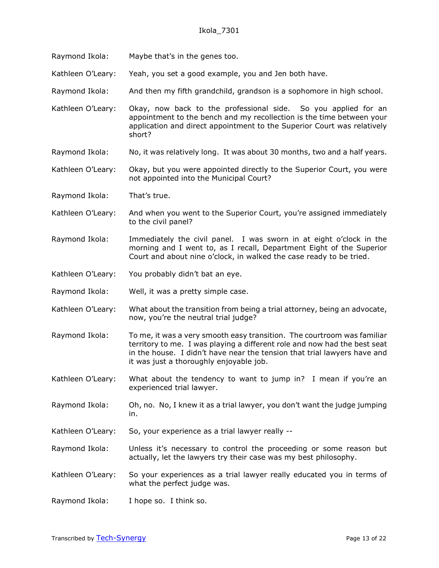- Raymond Ikola: Maybe that's in the genes too.
- Kathleen O'Leary: Yeah, you set a good example, you and Jen both have.
- Raymond Ikola: And then my fifth grandchild, grandson is a sophomore in high school.
- Kathleen O'Leary: Okay, now back to the professional side. So you applied for an appointment to the bench and my recollection is the time between your application and direct appointment to the Superior Court was relatively short?
- Raymond Ikola: No, it was relatively long. It was about 30 months, two and a half years.
- Kathleen O'Leary: Okay, but you were appointed directly to the Superior Court, you were not appointed into the Municipal Court?
- Raymond Ikola: That's true.
- Kathleen O'Leary: And when you went to the Superior Court, you're assigned immediately to the civil panel?
- Raymond Ikola: Immediately the civil panel. I was sworn in at eight o'clock in the morning and I went to, as I recall, Department Eight of the Superior Court and about nine o'clock, in walked the case ready to be tried.
- Kathleen O'Leary: You probably didn't bat an eye.
- Raymond Ikola: Well, it was a pretty simple case.
- Kathleen O'Leary: What about the transition from being a trial attorney, being an advocate, now, you're the neutral trial judge?
- Raymond Ikola: To me, it was a very smooth easy transition. The courtroom was familiar territory to me. I was playing a different role and now had the best seat in the house. I didn't have near the tension that trial lawyers have and it was just a thoroughly enjoyable job.
- Kathleen O'Leary: What about the tendency to want to jump in? I mean if you're an experienced trial lawyer.
- Raymond Ikola: Oh, no. No, I knew it as a trial lawyer, you don't want the judge jumping in.
- Kathleen O'Leary: So, your experience as a trial lawyer really --
- Raymond Ikola: Unless it's necessary to control the proceeding or some reason but actually, let the lawyers try their case was my best philosophy.
- Kathleen O'Leary: So your experiences as a trial lawyer really educated you in terms of what the perfect judge was.
- Raymond Ikola: I hope so. I think so.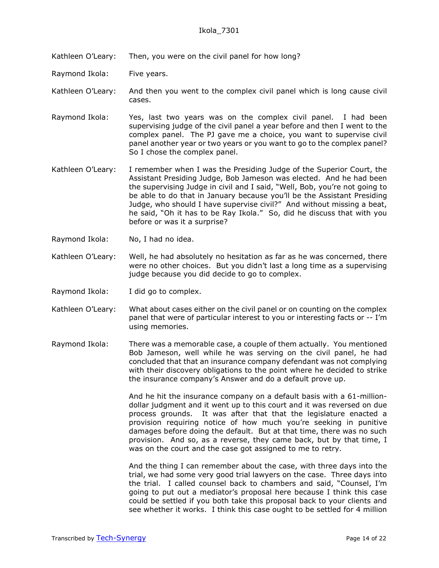Kathleen O'Leary: Then, you were on the civil panel for how long?

Raymond Ikola: Five years.

Kathleen O'Leary: And then you went to the complex civil panel which is long cause civil cases.

- Raymond Ikola: Yes, last two years was on the complex civil panel. I had been supervising judge of the civil panel a year before and then I went to the complex panel. The PJ gave me a choice, you want to supervise civil panel another year or two years or you want to go to the complex panel? So I chose the complex panel.
- Kathleen O'Leary: I remember when I was the Presiding Judge of the Superior Court, the Assistant Presiding Judge, Bob Jameson was elected. And he had been the supervising Judge in civil and I said, "Well, Bob, you're not going to be able to do that in January because you'll be the Assistant Presiding Judge, who should I have supervise civil?" And without missing a beat, he said, "Oh it has to be Ray Ikola." So, did he discuss that with you before or was it a surprise?
- Raymond Ikola: No, I had no idea.
- Kathleen O'Leary: Well, he had absolutely no hesitation as far as he was concerned, there were no other choices. But you didn't last a long time as a supervising judge because you did decide to go to complex.
- Raymond Ikola: I did go to complex.
- Kathleen O'Leary: What about cases either on the civil panel or on counting on the complex panel that were of particular interest to you or interesting facts or -- I'm using memories.
- Raymond Ikola: There was a memorable case, a couple of them actually. You mentioned Bob Jameson, well while he was serving on the civil panel, he had concluded that that an insurance company defendant was not complying with their discovery obligations to the point where he decided to strike the insurance company's Answer and do a default prove up.

And he hit the insurance company on a default basis with a 61-milliondollar judgment and it went up to this court and it was reversed on due process grounds. It was after that that the legislature enacted a provision requiring notice of how much you're seeking in punitive damages before doing the default. But at that time, there was no such provision. And so, as a reverse, they came back, but by that time, I was on the court and the case got assigned to me to retry.

And the thing I can remember about the case, with three days into the trial, we had some very good trial lawyers on the case. Three days into the trial. I called counsel back to chambers and said, "Counsel, I'm going to put out a mediator's proposal here because I think this case could be settled if you both take this proposal back to your clients and see whether it works. I think this case ought to be settled for 4 million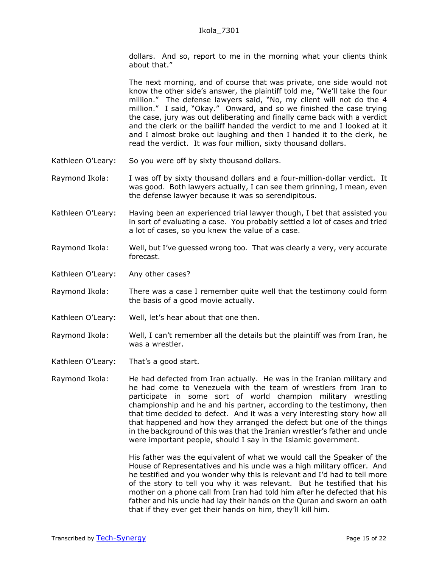dollars. And so, report to me in the morning what your clients think about that."

The next morning, and of course that was private, one side would not know the other side's answer, the plaintiff told me, "We'll take the four million." The defense lawyers said, "No, my client will not do the 4 million." I said, "Okay." Onward, and so we finished the case trying the case, jury was out deliberating and finally came back with a verdict and the clerk or the bailiff handed the verdict to me and I looked at it and I almost broke out laughing and then I handed it to the clerk, he read the verdict. It was four million, sixty thousand dollars.

- Kathleen O'Leary: So you were off by sixty thousand dollars.
- Raymond Ikola: I was off by sixty thousand dollars and a four-million-dollar verdict. It was good. Both lawyers actually, I can see them grinning, I mean, even the defense lawyer because it was so serendipitous.
- Kathleen O'Leary: Having been an experienced trial lawyer though, I bet that assisted you in sort of evaluating a case. You probably settled a lot of cases and tried a lot of cases, so you knew the value of a case.
- Raymond Ikola: Well, but I've guessed wrong too. That was clearly a very, very accurate forecast.
- Kathleen O'Leary: Any other cases?
- Raymond Ikola: There was a case I remember quite well that the testimony could form the basis of a good movie actually.
- Kathleen O'Leary: Well, let's hear about that one then.
- Raymond Ikola: Well, I can't remember all the details but the plaintiff was from Iran, he was a wrestler.
- Kathleen O'Leary: That's a good start.
- Raymond Ikola: He had defected from Iran actually. He was in the Iranian military and he had come to Venezuela with the team of wrestlers from Iran to participate in some sort of world champion military wrestling championship and he and his partner, according to the testimony, then that time decided to defect. And it was a very interesting story how all that happened and how they arranged the defect but one of the things in the background of this was that the Iranian wrestler's father and uncle were important people, should I say in the Islamic government.

His father was the equivalent of what we would call the Speaker of the House of Representatives and his uncle was a high military officer. And he testified and you wonder why this is relevant and I'd had to tell more of the story to tell you why it was relevant. But he testified that his mother on a phone call from Iran had told him after he defected that his father and his uncle had lay their hands on the Quran and sworn an oath that if they ever get their hands on him, they'll kill him.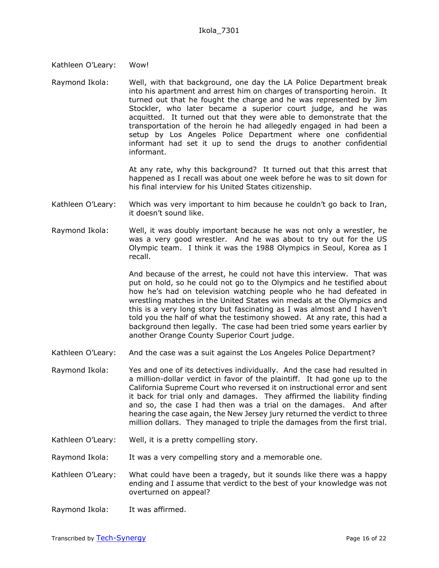- Kathleen O'Leary: Wow!
- Raymond Ikola: Well, with that background, one day the LA Police Department break into his apartment and arrest him on charges of transporting heroin. It turned out that he fought the charge and he was represented by Jim Stockler, who later became a superior court judge, and he was acquitted. It turned out that they were able to demonstrate that the transportation of the heroin he had allegedly engaged in had been a setup by Los Angeles Police Department where one confidential informant had set it up to send the drugs to another confidential informant.

At any rate, why this background? It turned out that this arrest that happened as I recall was about one week before he was to sit down for his final interview for his United States citizenship.

- Kathleen O'Leary: Which was very important to him because he couldn't go back to Iran, it doesn't sound like.
- Raymond Ikola: Well, it was doubly important because he was not only a wrestler, he was a very good wrestler. And he was about to try out for the US Olympic team. I think it was the 1988 Olympics in Seoul, Korea as I recall.

And because of the arrest, he could not have this interview. That was put on hold, so he could not go to the Olympics and he testified about how he's had on television watching people who he had defeated in wrestling matches in the United States win medals at the Olympics and this is a very long story but fascinating as I was almost and I haven't told you the half of what the testimony showed. At any rate, this had a background then legally. The case had been tried some years earlier by another Orange County Superior Court judge.

- Kathleen O'Leary: And the case was a suit against the Los Angeles Police Department?
- Raymond Ikola: Yes and one of its detectives individually. And the case had resulted in a million-dollar verdict in favor of the plaintiff. It had gone up to the California Supreme Court who reversed it on instructional error and sent it back for trial only and damages. They affirmed the liability finding and so, the case I had then was a trial on the damages. And after hearing the case again, the New Jersey jury returned the verdict to three million dollars. They managed to triple the damages from the first trial.
- Kathleen O'Leary: Well, it is a pretty compelling story.
- Raymond Ikola: It was a very compelling story and a memorable one.
- Kathleen O'Leary: What could have been a tragedy, but it sounds like there was a happy ending and I assume that verdict to the best of your knowledge was not overturned on appeal?
- Raymond Ikola: It was affirmed.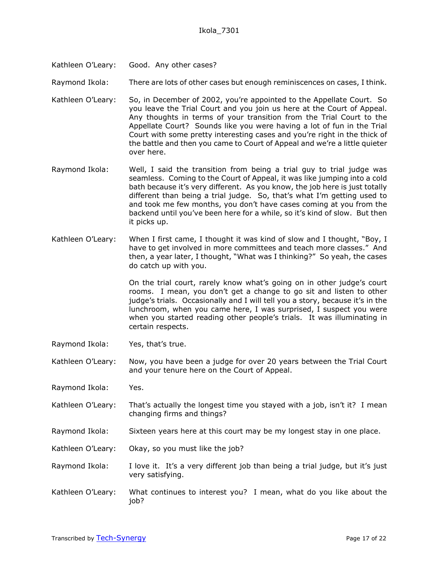Kathleen O'Leary: Good. Any other cases?

Raymond Ikola: There are lots of other cases but enough reminiscences on cases, I think.

- Kathleen O'Leary: So, in December of 2002, you're appointed to the Appellate Court. So you leave the Trial Court and you join us here at the Court of Appeal. Any thoughts in terms of your transition from the Trial Court to the Appellate Court? Sounds like you were having a lot of fun in the Trial Court with some pretty interesting cases and you're right in the thick of the battle and then you came to Court of Appeal and we're a little quieter over here.
- Raymond Ikola: Well, I said the transition from being a trial guy to trial judge was seamless. Coming to the Court of Appeal, it was like jumping into a cold bath because it's very different. As you know, the job here is just totally different than being a trial judge. So, that's what I'm getting used to and took me few months, you don't have cases coming at you from the backend until you've been here for a while, so it's kind of slow. But then it picks up.
- Kathleen O'Leary: When I first came, I thought it was kind of slow and I thought, "Boy, I have to get involved in more committees and teach more classes." And then, a year later, I thought, "What was I thinking?" So yeah, the cases do catch up with you.

On the trial court, rarely know what's going on in other judge's court rooms. I mean, you don't get a change to go sit and listen to other judge's trials. Occasionally and I will tell you a story, because it's in the lunchroom, when you came here, I was surprised, I suspect you were when you started reading other people's trials. It was illuminating in certain respects.

- Raymond Ikola: Yes, that's true.
- Kathleen O'Leary: Now, you have been a judge for over 20 years between the Trial Court and your tenure here on the Court of Appeal.
- Raymond Ikola: Yes.
- Kathleen O'Leary: That's actually the longest time you stayed with a job, isn't it? I mean changing firms and things?
- Raymond Ikola: Sixteen years here at this court may be my longest stay in one place.
- Kathleen O'Leary: Okay, so you must like the job?
- Raymond Ikola: I love it. It's a very different job than being a trial judge, but it's just very satisfying.
- Kathleen O'Leary: What continues to interest you? I mean, what do you like about the job?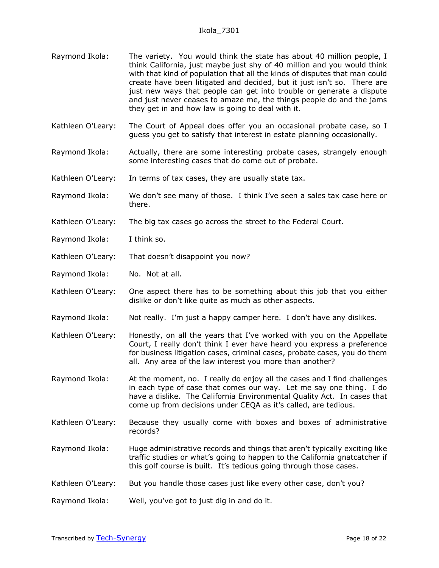- Raymond Ikola: The variety. You would think the state has about 40 million people, I think California, just maybe just shy of 40 million and you would think with that kind of population that all the kinds of disputes that man could create have been litigated and decided, but it just isn't so. There are just new ways that people can get into trouble or generate a dispute and just never ceases to amaze me, the things people do and the jams they get in and how law is going to deal with it.
- Kathleen O'Leary: The Court of Appeal does offer you an occasional probate case, so I guess you get to satisfy that interest in estate planning occasionally.
- Raymond Ikola: Actually, there are some interesting probate cases, strangely enough some interesting cases that do come out of probate.
- Kathleen O'Leary: In terms of tax cases, they are usually state tax.
- Raymond Ikola: We don't see many of those. I think I've seen a sales tax case here or there.
- Kathleen O'Leary: The big tax cases go across the street to the Federal Court.
- Raymond Ikola: I think so.
- Kathleen O'Leary: That doesn't disappoint you now?
- Raymond Ikola: No. Not at all.
- Kathleen O'Leary: One aspect there has to be something about this job that you either dislike or don't like quite as much as other aspects.
- Raymond Ikola: Not really. I'm just a happy camper here. I don't have any dislikes.
- Kathleen O'Leary: Honestly, on all the years that I've worked with you on the Appellate Court, I really don't think I ever have heard you express a preference for business litigation cases, criminal cases, probate cases, you do them all. Any area of the law interest you more than another?
- Raymond Ikola: At the moment, no. I really do enjoy all the cases and I find challenges in each type of case that comes our way. Let me say one thing. I do have a dislike. The California Environmental Quality Act. In cases that come up from decisions under CEQA as it's called, are tedious.
- Kathleen O'Leary: Because they usually come with boxes and boxes of administrative records?
- Raymond Ikola: Huge administrative records and things that aren't typically exciting like traffic studies or what's going to happen to the California gnatcatcher if this golf course is built. It's tedious going through those cases.
- Kathleen O'Leary: But you handle those cases just like every other case, don't you?
- Raymond Ikola: Well, you've got to just dig in and do it.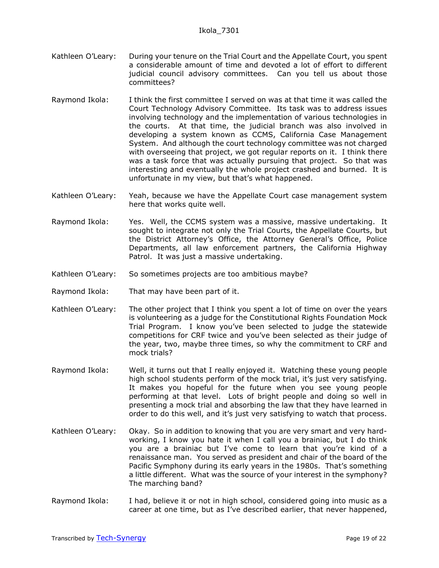- Kathleen O'Leary: During your tenure on the Trial Court and the Appellate Court, you spent a considerable amount of time and devoted a lot of effort to different judicial council advisory committees. Can you tell us about those committees?
- Raymond Ikola: I think the first committee I served on was at that time it was called the Court Technology Advisory Committee. Its task was to address issues involving technology and the implementation of various technologies in the courts. At that time, the judicial branch was also involved in developing a system known as CCMS, California Case Management System. And although the court technology committee was not charged with overseeing that project, we got regular reports on it. I think there was a task force that was actually pursuing that project. So that was interesting and eventually the whole project crashed and burned. It is unfortunate in my view, but that's what happened.
- Kathleen O'Leary: Yeah, because we have the Appellate Court case management system here that works quite well.
- Raymond Ikola: Yes. Well, the CCMS system was a massive, massive undertaking. It sought to integrate not only the Trial Courts, the Appellate Courts, but the District Attorney's Office, the Attorney General's Office, Police Departments, all law enforcement partners, the California Highway Patrol. It was just a massive undertaking.
- Kathleen O'Leary: So sometimes projects are too ambitious maybe?
- Raymond Ikola: That may have been part of it.
- Kathleen O'Leary: The other project that I think you spent a lot of time on over the years is volunteering as a judge for the Constitutional Rights Foundation Mock Trial Program. I know you've been selected to judge the statewide competitions for CRF twice and you've been selected as their judge of the year, two, maybe three times, so why the commitment to CRF and mock trials?
- Raymond Ikola: Well, it turns out that I really enjoyed it. Watching these young people high school students perform of the mock trial, it's just very satisfying. It makes you hopeful for the future when you see young people performing at that level. Lots of bright people and doing so well in presenting a mock trial and absorbing the law that they have learned in order to do this well, and it's just very satisfying to watch that process.
- Kathleen O'Leary: Okay. So in addition to knowing that you are very smart and very hardworking, I know you hate it when I call you a brainiac, but I do think you are a brainiac but I've come to learn that you're kind of a renaissance man. You served as president and chair of the board of the Pacific Symphony during its early years in the 1980s. That's something a little different. What was the source of your interest in the symphony? The marching band?
- Raymond Ikola: I had, believe it or not in high school, considered going into music as a career at one time, but as I've described earlier, that never happened,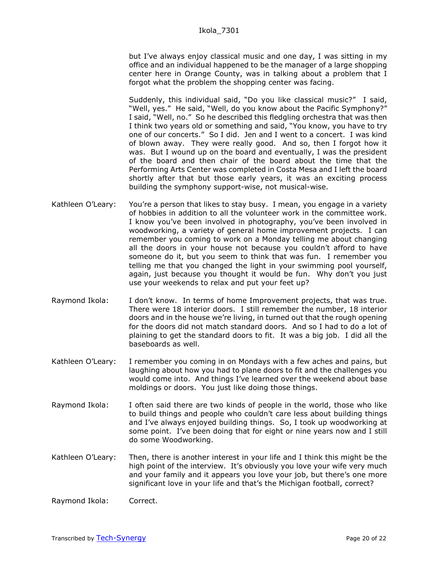but I've always enjoy classical music and one day, I was sitting in my office and an individual happened to be the manager of a large shopping center here in Orange County, was in talking about a problem that I forgot what the problem the shopping center was facing.

Suddenly, this individual said, "Do you like classical music?" I said, "Well, yes." He said, "Well, do you know about the Pacific Symphony?" I said, "Well, no." So he described this fledgling orchestra that was then I think two years old or something and said, "You know, you have to try one of our concerts." So I did. Jen and I went to a concert. I was kind of blown away. They were really good. And so, then I forgot how it was. But I wound up on the board and eventually, I was the president of the board and then chair of the board about the time that the Performing Arts Center was completed in Costa Mesa and I left the board shortly after that but those early years, it was an exciting process building the symphony support-wise, not musical-wise.

- Kathleen O'Leary: You're a person that likes to stay busy. I mean, you engage in a variety of hobbies in addition to all the volunteer work in the committee work. I know you've been involved in photography, you've been involved in woodworking, a variety of general home improvement projects. I can remember you coming to work on a Monday telling me about changing all the doors in your house not because you couldn't afford to have someone do it, but you seem to think that was fun. I remember you telling me that you changed the light in your swimming pool yourself, again, just because you thought it would be fun. Why don't you just use your weekends to relax and put your feet up?
- Raymond Ikola: I don't know. In terms of home Improvement projects, that was true. There were 18 interior doors. I still remember the number, 18 interior doors and in the house we're living, in turned out that the rough opening for the doors did not match standard doors. And so I had to do a lot of plaining to get the standard doors to fit. It was a big job. I did all the baseboards as well.
- Kathleen O'Leary: I remember you coming in on Mondays with a few aches and pains, but laughing about how you had to plane doors to fit and the challenges you would come into. And things I've learned over the weekend about base moldings or doors. You just like doing those things.
- Raymond Ikola: I often said there are two kinds of people in the world, those who like to build things and people who couldn't care less about building things and I've always enjoyed building things. So, I took up woodworking at some point. I've been doing that for eight or nine years now and I still do some Woodworking.
- Kathleen O'Leary: Then, there is another interest in your life and I think this might be the high point of the interview. It's obviously you love your wife very much and your family and it appears you love your job, but there's one more significant love in your life and that's the Michigan football, correct?

Raymond Ikola: Correct.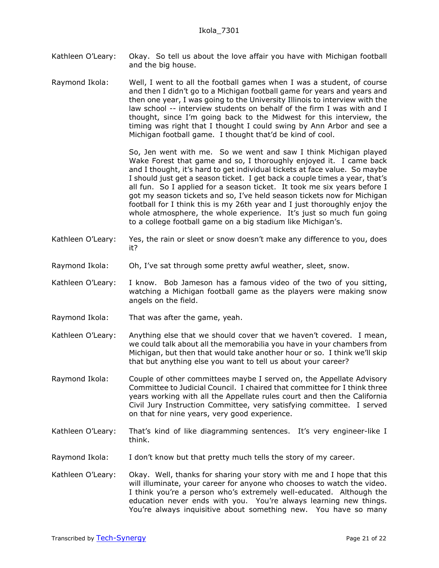Kathleen O'Leary: Okay. So tell us about the love affair you have with Michigan football and the big house.

Raymond Ikola: Well, I went to all the football games when I was a student, of course and then I didn't go to a Michigan football game for years and years and then one year, I was going to the University Illinois to interview with the law school -- interview students on behalf of the firm I was with and I thought, since I'm going back to the Midwest for this interview, the timing was right that I thought I could swing by Ann Arbor and see a Michigan football game. I thought that'd be kind of cool.

> So, Jen went with me. So we went and saw I think Michigan played Wake Forest that game and so, I thoroughly enjoyed it. I came back and I thought, it's hard to get individual tickets at face value. So maybe I should just get a season ticket. I get back a couple times a year, that's all fun. So I applied for a season ticket. It took me six years before I got my season tickets and so, I've held season tickets now for Michigan football for I think this is my 26th year and I just thoroughly enjoy the whole atmosphere, the whole experience. It's just so much fun going to a college football game on a big stadium like Michigan's.

- Kathleen O'Leary: Yes, the rain or sleet or snow doesn't make any difference to you, does it?
- Raymond Ikola: Oh, I've sat through some pretty awful weather, sleet, snow.
- Kathleen O'Leary: I know. Bob Jameson has a famous video of the two of you sitting, watching a Michigan football game as the players were making snow angels on the field.
- Raymond Ikola: That was after the game, yeah.
- Kathleen O'Leary: Anything else that we should cover that we haven't covered. I mean, we could talk about all the memorabilia you have in your chambers from Michigan, but then that would take another hour or so. I think we'll skip that but anything else you want to tell us about your career?
- Raymond Ikola: Couple of other committees maybe I served on, the Appellate Advisory Committee to Judicial Council. I chaired that committee for I think three years working with all the Appellate rules court and then the California Civil Jury Instruction Committee, very satisfying committee. I served on that for nine years, very good experience.
- Kathleen O'Leary: That's kind of like diagramming sentences. It's very engineer-like I think.
- Raymond Ikola: I don't know but that pretty much tells the story of my career.
- Kathleen O'Leary: Okay. Well, thanks for sharing your story with me and I hope that this will illuminate, your career for anyone who chooses to watch the video. I think you're a person who's extremely well-educated. Although the education never ends with you. You're always learning new things. You're always inquisitive about something new. You have so many